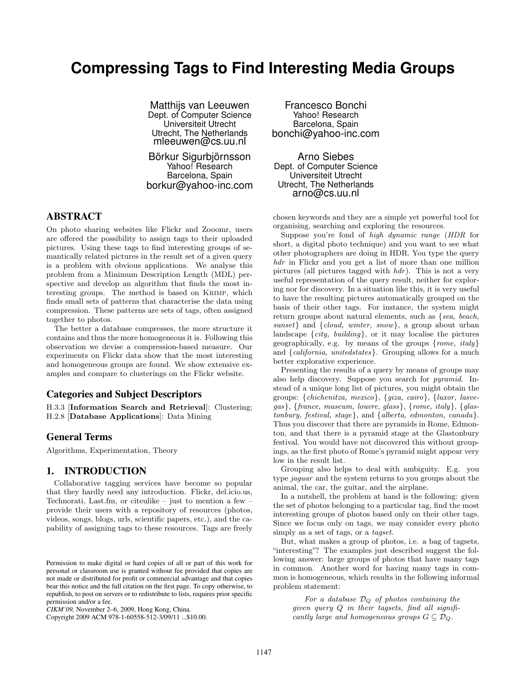# **Compressing Tags to Find Interesting Media Groups**

Matthijs van Leeuwen Dept. of Computer Science Universiteit Utrecht Utrecht, The Netherlands mleeuwen@cs.uu.nl

Börkur Sigurbjörnsson Yahoo! Research Barcelona, Spain borkur@yahoo-inc.com

# ABSTRACT

On photo sharing websites like Flickr and Zooomr, users are offered the possibility to assign tags to their uploaded pictures. Using these tags to find interesting groups of semantically related pictures in the result set of a given query is a problem with obvious applications. We analyse this problem from a Minimum Description Length (MDL) perspective and develop an algorithm that finds the most interesting groups. The method is based on Krimp, which finds small sets of patterns that characterise the data using compression. These patterns are sets of tags, often assigned together to photos.

The better a database compresses, the more structure it contains and thus the more homogeneous it is. Following this observation we devise a compression-based measure. Our experiments on Flickr data show that the most interesting and homogeneous groups are found. We show extensive examples and compare to clusterings on the Flickr website.

### Categories and Subject Descriptors

H.3.3 [Information Search and Retrieval]: Clustering; H.2.8 [Database Applications]: Data Mining

# General Terms

Algorithms, Experimentation, Theory

# 1. INTRODUCTION

Collaborative tagging services have become so popular that they hardly need any introduction. Flickr, del.icio.us, Technorati, Last.fm, or citeulike – just to mention a few – provide their users with a repository of resources (photos, videos, songs, blogs, urls, scientific papers, etc.), and the capability of assigning tags to these resources. Tags are freely

Copyright 2009 ACM 978-1-60558-512-3/09/11 ...\$10.00.

Francesco Bonchi Yahoo! Research Barcelona, Spain bonchi@yahoo-inc.com

Arno Siebes Dept. of Computer Science Universiteit Utrecht Utrecht, The Netherlands arno@cs.uu.nl

chosen keywords and they are a simple yet powerful tool for organising, searching and exploring the resources.

Suppose you're fond of high dynamic range (HDR for short, a digital photo technique) and you want to see what other photographers are doing in HDR. You type the query hdr in Flickr and you get a list of more than one million pictures (all pictures tagged with hdr). This is not a very useful representation of the query result, neither for exploring nor for discovery. In a situation like this, it is very useful to have the resulting pictures automatically grouped on the basis of their other tags. For instance, the system might return groups about natural elements, such as {sea, beach, sunset} and {cloud, winter, snow}, a group about urban landscape  $\{city, building\}$ , or it may localise the pictures geographically, e.g. by means of the groups  $\{rome, \text{ ital}y\}$ and {california, unitedstates}. Grouping allows for a much better explorative experience.

Presenting the results of a query by means of groups may also help discovery. Suppose you search for pyramid. Instead of a unique long list of pictures, you might obtain the groups: {chichenitza, mexico}, {giza, cairo}, {luxor, lasvegas}, {france, museum, louvre, glass}, {rome, italy}, {glastonbury, festival, stage}, and {alberta, edmonton, canada}. Thus you discover that there are pyramids in Rome, Edmonton, and that there is a pyramid stage at the Glastonbury festival. You would have not discovered this without groupings, as the first photo of Rome's pyramid might appear very low in the result list.

Grouping also helps to deal with ambiguity. E.g. you type jaguar and the system returns to you groups about the animal, the car, the guitar, and the airplane.

In a nutshell, the problem at hand is the following: given the set of photos belonging to a particular tag, find the most interesting groups of photos based only on their other tags. Since we focus only on tags, we may consider every photo simply as a set of tags, or a *tagset*.

But, what makes a group of photos, i.e. a bag of tagsets, "interesting"? The examples just described suggest the following answer: large groups of photos that have many tags in common. Another word for having many tags in common is homogeneous, which results in the following informal problem statement:

For a database  $\mathcal{D}_Q$  of photos containing the given query  $Q$  in their tagsets, find all significantly large and homogeneous groups  $G \subseteq \mathcal{D}_Q$ .

Permission to make digital or hard copies of all or part of this work for personal or classroom use is granted without fee provided that copies are not made or distributed for profit or commercial advantage and that copies bear this notice and the full citation on the first page. To copy otherwise, to republish, to post on servers or to redistribute to lists, requires prior specific permission and/or a fee.

*CIKM'09,* November 2–6, 2009, Hong Kong, China.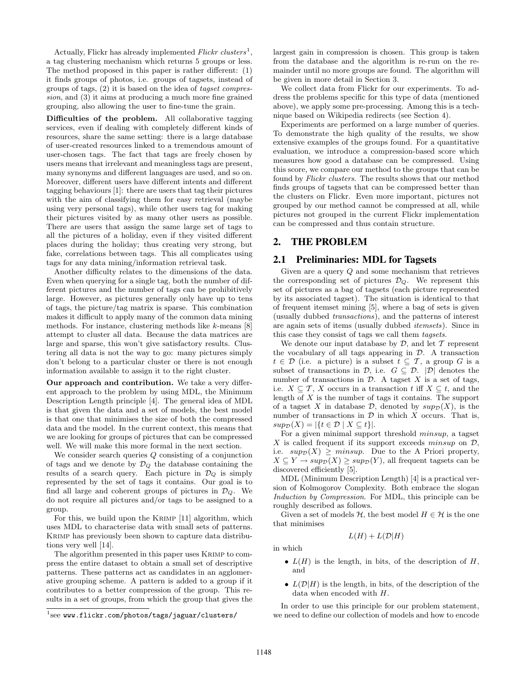Actually, Flickr has already implemented  $Flickr$  clusters<sup>1</sup>, a tag clustering mechanism which returns 5 groups or less. The method proposed in this paper is rather different: (1) it finds groups of photos, i.e. groups of tagsets, instead of groups of tags, (2) it is based on the idea of tagset compression, and (3) it aims at producing a much more fine grained grouping, also allowing the user to fine-tune the grain.

Difficulties of the problem. All collaborative tagging services, even if dealing with completely different kinds of resources, share the same setting: there is a large database of user-created resources linked to a tremendous amount of user-chosen tags. The fact that tags are freely chosen by users means that irrelevant and meaningless tags are present, many synonyms and different languages are used, and so on. Moreover, different users have different intents and different tagging behaviours [1]: there are users that tag their pictures with the aim of classifying them for easy retrieval (maybe using very personal tags), while other users tag for making their pictures visited by as many other users as possible. There are users that assign the same large set of tags to all the pictures of a holiday, even if they visited different places during the holiday; thus creating very strong, but fake, correlations between tags. This all complicates using tags for any data mining/information retrieval task.

Another difficulty relates to the dimensions of the data. Even when querying for a single tag, both the number of different pictures and the number of tags can be prohibitively large. However, as pictures generally only have up to tens of tags, the picture/tag matrix is sparse. This combination makes it difficult to apply many of the common data mining methods. For instance, clustering methods like k-means [8] attempt to cluster all data. Because the data matrices are large and sparse, this won't give satisfactory results. Clustering all data is not the way to go: many pictures simply don't belong to a particular cluster or there is not enough information available to assign it to the right cluster.

Our approach and contribution. We take a very different approach to the problem by using MDL, the Minimum Description Length principle [4]. The general idea of MDL is that given the data and a set of models, the best model is that one that minimises the size of both the compressed data and the model. In the current context, this means that we are looking for groups of pictures that can be compressed well. We will make this more formal in the next section.

We consider search queries  $Q$  consisting of a conjunction of tags and we denote by  $\mathcal{D}_Q$  the database containing the results of a search query. Each picture in  $\mathcal{D}_Q$  is simply represented by the set of tags it contains. Our goal is to find all large and coherent groups of pictures in  $\mathcal{D}_Q$ . We do not require all pictures and/or tags to be assigned to a group.

For this, we build upon the Krimp [11] algorithm, which uses MDL to characterise data with small sets of patterns. Krimp has previously been shown to capture data distributions very well [14].

The algorithm presented in this paper uses Krimp to compress the entire dataset to obtain a small set of descriptive patterns. These patterns act as candidates in an agglomerative grouping scheme. A pattern is added to a group if it contributes to a better compression of the group. This results in a set of groups, from which the group that gives the largest gain in compression is chosen. This group is taken from the database and the algorithm is re-run on the remainder until no more groups are found. The algorithm will be given in more detail in Section 3.

We collect data from Flickr for our experiments. To address the problems specific for this type of data (mentioned above), we apply some pre-processing. Among this is a technique based on Wikipedia redirects (see Section 4).

Experiments are performed on a large number of queries. To demonstrate the high quality of the results, we show extensive examples of the groups found. For a quantitative evaluation, we introduce a compression-based score which measures how good a database can be compressed. Using this score, we compare our method to the groups that can be found by Flickr clusters. The results shows that our method finds groups of tagsets that can be compressed better than the clusters on Flickr. Even more important, pictures not grouped by our method cannot be compressed at all, while pictures not grouped in the current Flickr implementation can be compressed and thus contain structure.

# 2. THE PROBLEM

# 2.1 Preliminaries: MDL for Tagsets

Given are a query Q and some mechanism that retrieves the corresponding set of pictures  $\mathcal{D}_Q$ . We represent this set of pictures as a bag of tagsets (each picture represented by its associated tagset). The situation is identical to that of frequent itemset mining [5], where a bag of sets is given (usually dubbed transactions), and the patterns of interest are again sets of items (usually dubbed itemsets). Since in this case they consist of tags we call them tagsets.

We denote our input database by  $\mathcal{D}$ , and let  $\mathcal T$  represent the vocabulary of all tags appearing in  $\mathcal{D}$ . A transaction  $t \in \mathcal{D}$  (i.e. a picture) is a subset  $t \subset \mathcal{T}$ , a group G is a subset of transactions in  $\mathcal{D}$ , i.e.  $G \subseteq \mathcal{D}$ .  $|\mathcal{D}|$  denotes the number of transactions in  $\mathcal{D}$ . A tagset X is a set of tags, i.e.  $X \subseteq \mathcal{T}$ , X occurs in a transaction t iff  $X \subseteq t$ , and the length of  $X$  is the number of tags it contains. The support of a tagset X in database  $\mathcal{D}$ , denoted by  $sup_{\mathcal{D}}(X)$ , is the number of transactions in  $D$  in which  $X$  occurs. That is,  $sup_{\mathcal{D}}(X) = |\{t \in \mathcal{D} \mid X \subseteq t\}|.$ 

For a given minimal support threshold minsup, a tagset X is called frequent if its support exceeds minsup on  $\mathcal{D}$ , i.e.  $sup_{\mathcal{D}}(X) \geq minsup$ . Due to the A Priori property,  $X \subseteq Y \to \text{sup}_{\mathcal{D}}(X) \geq \text{sup}_{\mathcal{D}}(Y)$ , all frequent tagsets can be discovered efficiently [5].

MDL (Minimum Description Length) [4] is a practical version of Kolmogorov Complexity. Both embrace the slogan Induction by Compression. For MDL, this principle can be roughly described as follows.

Given a set of models  $H$ , the best model  $H \in \mathcal{H}$  is the one that minimises

$$
L(H) + L(\mathcal{D}|H)
$$

in which

- $L(H)$  is the length, in bits, of the description of H, and
- $L(\mathcal{D}|H)$  is the length, in bits, of the description of the data when encoded with H.

In order to use this principle for our problem statement, we need to define our collection of models and how to encode

 $^1$ see www.flickr.com/photos/tags/jaguar/clusters/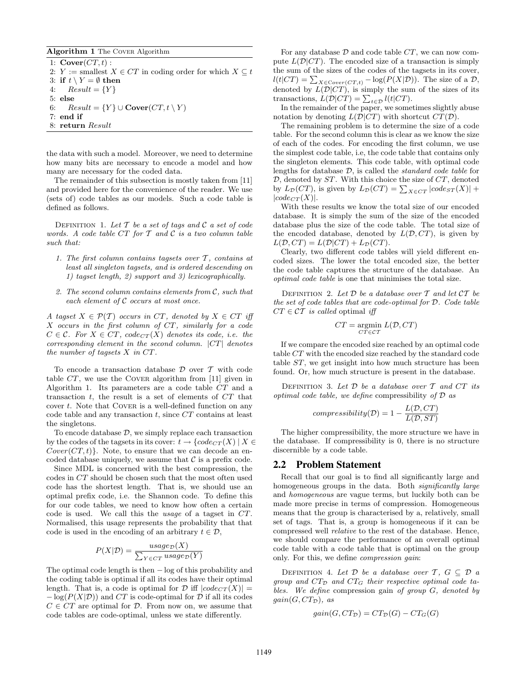#### Algorithm 1 The Cover Algorithm

1:  $\text{Cover}(CT, t)$  : 2:  $Y :=$  smallest  $X \in \mathbb{C}T$  in coding order for which  $X \subseteq t$ 3: if  $t \setminus Y = \emptyset$  then 4:  $Result = {Y}$ 5: else 6:  $Result = {Y} \cup Cover(CT, t \setminus Y)$ 7: end if 8: return Result

the data with such a model. Moreover, we need to determine how many bits are necessary to encode a model and how many are necessary for the coded data.

The remainder of this subsection is mostly taken from [11] and provided here for the convenience of the reader. We use (sets of) code tables as our models. Such a code table is defined as follows.

DEFINITION 1. Let  $T$  be a set of tags and  $C$  a set of code words. A code table  $CT$  for  $T$  and  $C$  is a two column table such that:

- 1. The first column contains tagsets over  $T$ , contains at least all singleton tagsets, and is ordered descending on 1) tagset length, 2) support and 3) lexicographically.
- 2. The second column contains elements from C, such that each element of  $C$  occurs at most once.

A tagset  $X \in \mathcal{P}(\mathcal{T})$  occurs in CT, denoted by  $X \in \mathbb{C}$  iff  $X$  occurs in the first column of  $CT$ , similarly for a code  $C \in \mathcal{C}$ . For  $X \in CT$ , code $_{CT}(X)$  denotes its code, i.e. the corresponding element in the second column.  $|CT|$  denotes the number of tagsets X in CT.

To encode a transaction database  $D$  over  $T$  with code table  $CT$ , we use the COVER algorithm from [11] given in Algorithm 1. Its parameters are a code table CT and a transaction  $t$ , the result is a set of elements of  $CT$  that cover  $t$ . Note that COVER is a well-defined function on any code table and any transaction  $t$ , since  $CT$  contains at least the singletons.

To encode database  $D$ , we simply replace each transaction by the codes of the tagsets in its cover:  $t \to \{code_{CT}(X) | X \in$  $Cover(CT, t)$ . Note, to ensure that we can decode an encoded database uniquely, we assume that  $\mathcal C$  is a prefix code.

Since MDL is concerned with the best compression, the codes in CT should be chosen such that the most often used code has the shortest length. That is, we should use an optimal prefix code, i.e. the Shannon code. To define this for our code tables, we need to know how often a certain code is used. We call this the usage of a tagset in CT. Normalised, this usage represents the probability that that code is used in the encoding of an arbitrary  $t \in \mathcal{D}$ ,

$$
P(X|D) = \frac{usage_D(X)}{\sum_{Y \in CT} usage_D(Y)}
$$

The optimal code length is then − log of this probability and the coding table is optimal if all its codes have their optimal length. That is, a code is optimal for  $\mathcal D$  iff  $|code_{CT}(X)|=$  $-\log(P(X|\mathcal{D}))$  and CT is code-optimal for D if all its codes  $C \in \mathbb{C}$  are optimal for  $\mathcal{D}$ . From now on, we assume that code tables are code-optimal, unless we state differently.

For any database  $D$  and code table  $CT$ , we can now compute  $L(\mathcal{D}|CT)$ . The encoded size of a transaction is simply the sum of the sizes of the codes of the tagsets in its cover,  $l(t|CT) = \sum_{X \in Cover(T,t)} -log(P(X|D)).$  The size of a D, denoted by  $L(\mathcal{D}|CT)$ , is simply the sum of the sizes of its transactions,  $L(\mathcal{D}|CT) = \sum_{t \in \mathcal{D}} l(t|CT)$ .

In the remainder of the paper, we sometimes slightly abuse notation by denoting  $L(\mathcal{D}|CT)$  with shortcut  $CT(\mathcal{D})$ .

The remaining problem is to determine the size of a code table. For the second column this is clear as we know the size of each of the codes. For encoding the first column, we use the simplest code table, i.e, the code table that contains only the singleton elements. This code table, with optimal code lengths for database  $D$ , is called the *standard code table* for  $D$ , denoted by  $ST$ . With this choice the size of  $CT$ , denoted by  $L_{\mathcal{D}}(CT)$ , is given by  $L_{\mathcal{D}}(CT) = \sum_{X \in CT} |code_{ST}(X)| +$  $|code_{CT}(X)|$ .

With these results we know the total size of our encoded database. It is simply the sum of the size of the encoded database plus the size of the code table. The total size of the encoded database, denoted by  $L(D, CT)$ , is given by  $L(\mathcal{D}, CT) = L(\mathcal{D}|CT) + L_{\mathcal{D}}(CT).$ 

Clearly, two different code tables will yield different encoded sizes. The lower the total encoded size, the better the code table captures the structure of the database. An optimal code table is one that minimises the total size.

DEFINITION 2. Let  $D$  be a database over  $T$  and let  $\mathcal{CT}$  be the set of code tables that are code-optimal for D. Code table  $CT \in \mathcal{CT}$  is called optimal iff

$$
CT = \mathop{\rm argmin}\limits_{CT \in \mathcal{CT}} L(\mathcal{D},CT)
$$

If we compare the encoded size reached by an optimal code table CT with the encoded size reached by the standard code table ST, we get insight into how much structure has been found. Or, how much structure is present in the database.

DEFINITION 3. Let  $D$  be a database over  $T$  and  $CT$  its optimal code table, we define compressibility of  $\mathcal D$  as

$$
compressibility(\mathcal{D}) = 1 - \frac{L(\mathcal{D}, CT)}{L(\mathcal{D}, ST)}
$$

The higher compressibility, the more structure we have in the database. If compressibility is 0, there is no structure discernible by a code table.

### 2.2 Problem Statement

Recall that our goal is to find all significantly large and homogeneous groups in the data. Both *significantly large* and homogeneous are vague terms, but luckily both can be made more precise in terms of compression. Homogeneous means that the group is characterised by a, relatively, small set of tags. That is, a group is homogeneous if it can be compressed well relative to the rest of the database. Hence, we should compare the performance of an overall optimal code table with a code table that is optimal on the group only. For this, we define compression gain:

DEFINITION 4. Let  $\mathcal D$  be a database over  $\mathcal T$ ,  $G \subseteq \mathcal D$  a group and  $CT_{\mathcal{D}}$  and  $CT_{G}$  their respective optimal code tables. We define compression gain of group  $G$ , denoted by  $gain(G,CT_{\mathcal{D}}),$  as

$$
gain(G,CT_{\mathcal{D}}) = CT_{\mathcal{D}}(G) - CT_G(G)
$$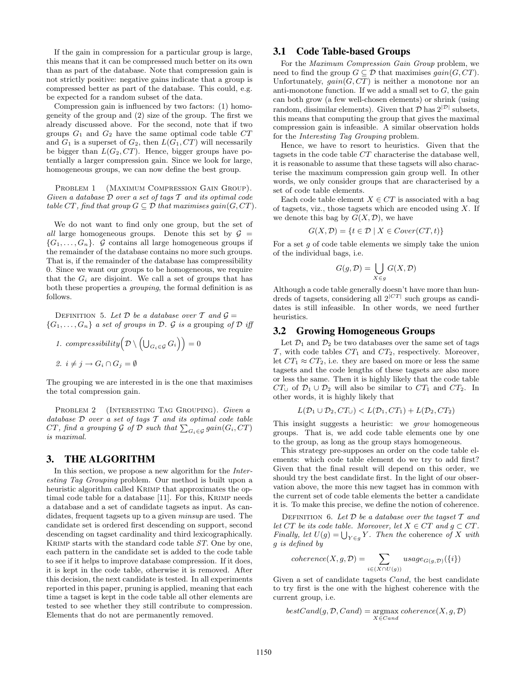If the gain in compression for a particular group is large, this means that it can be compressed much better on its own than as part of the database. Note that compression gain is not strictly positive: negative gains indicate that a group is compressed better as part of the database. This could, e.g. be expected for a random subset of the data.

Compression gain is influenced by two factors: (1) homogeneity of the group and (2) size of the group. The first we already discussed above. For the second, note that if two groups  $G_1$  and  $G_2$  have the same optimal code table  $CT$ and  $G_1$  is a superset of  $G_2$ , then  $L(G_1, CT)$  will necessarily be bigger than  $L(G_2, CT)$ . Hence, bigger groups have potentially a larger compression gain. Since we look for large, homogeneous groups, we can now define the best group.

PROBLEM 1 (MAXIMUM COMPRESSION GAIN GROUP). Given a database  $D$  over a set of tags  $T$  and its optimal code table CT, find that group  $G \subseteq \mathcal{D}$  that maximises  $gain(G,CT)$ .

We do not want to find only one group, but the set of all large homogeneous groups. Denote this set by  $\mathcal{G}$  =  $\{G_1, \ldots, G_n\}$ . G contains all large homogeneous groups if the remainder of the database contains no more such groups. That is, if the remainder of the database has compressibility 0. Since we want our groups to be homogeneous, we require that the  $G_i$  are disjoint. We call a set of groups that has both these properties a grouping, the formal definition is as follows.

DEFINITION 5. Let  $\mathcal D$  be a database over  $\mathcal T$  and  $\mathcal G =$  $\{G_1, \ldots, G_n\}$  a set of groups in  $\mathcal{D}$ .  $\mathcal G$  is a grouping of  $\mathcal D$  iff

1. compressibility 
$$
(\mathcal{D} \setminus (\bigcup_{G_i \in \mathcal{G}} G_i)) = 0
$$
  
2.  $i \neq j \rightarrow G_i \cap G_j = \emptyset$ 

The grouping we are interested in is the one that maximises the total compression gain.

PROBLEM 2 (INTERESTING TAG GROUPING). Given a database D over a set of tags T and its optimal code table CT, find a grouping G of D such that  $\sum_{G_i \in \mathcal{G}} gain(G_i,CT)$ is maximal.

# 3. THE ALGORITHM

In this section, we propose a new algorithm for the *Inter*esting Tag Grouping problem. Our method is built upon a heuristic algorithm called KRIMP that approximates the optimal code table for a database [11]. For this, Krimp needs a database and a set of candidate tagsets as input. As candidates, frequent tagsets up to a given *minsup* are used. The candidate set is ordered first descending on support, second descending on tagset cardinality and third lexicographically. Krimp starts with the standard code table ST. One by one, each pattern in the candidate set is added to the code table to see if it helps to improve database compression. If it does, it is kept in the code table, otherwise it is removed. After this decision, the next candidate is tested. In all experiments reported in this paper, pruning is applied, meaning that each time a tagset is kept in the code table all other elements are tested to see whether they still contribute to compression. Elements that do not are permanently removed.

# 3.1 Code Table-based Groups

For the Maximum Compression Gain Group problem, we need to find the group  $G \subseteq \mathcal{D}$  that maximises  $gain(G,CT)$ . Unfortunately,  $gain(G,CT)$  is neither a monotone nor an anti-monotone function. If we add a small set to  $G$ , the gain can both grow (a few well-chosen elements) or shrink (using random, dissimilar elements). Given that  $\mathcal{D}$  has  $2^{|\mathcal{D}|}$  subsets, this means that computing the group that gives the maximal compression gain is infeasible. A similar observation holds for the Interesting Tag Grouping problem.

Hence, we have to resort to heuristics. Given that the tagsets in the code table CT characterise the database well, it is reasonable to assume that these tagsets will also characterise the maximum compression gain group well. In other words, we only consider groups that are characterised by a set of code table elements.

Each code table element  $X \in \mathbb{C}T$  is associated with a bag of tagsets, viz., those tagsets which are encoded using  $X$ . If we denote this bag by  $G(X, \mathcal{D})$ , we have

$$
G(X, \mathcal{D}) = \{ t \in \mathcal{D} \mid X \in Cover(CT, t) \}
$$

For a set  $g$  of code table elements we simply take the union of the individual bags, i.e.

$$
G(g,\mathcal{D}) = \bigcup_{X \in g} G(X,\mathcal{D})
$$

Although a code table generally doesn't have more than hundreds of tagsets, considering all  $2^{|CT|}$  such groups as candidates is still infeasible. In other words, we need further heuristics.

# 3.2 Growing Homogeneous Groups

Let  $\mathcal{D}_1$  and  $\mathcal{D}_2$  be two databases over the same set of tags  $\mathcal{T}$ , with code tables  $CT_1$  and  $CT_2$ , respectively. Moreover, let  $CT_1 \approx CT_2$ , i.e. they are based on more or less the same tagsets and the code lengths of these tagsets are also more or less the same. Then it is highly likely that the code table  $CT_{\cup}$  of  $\mathcal{D}_1 \cup \mathcal{D}_2$  will also be similar to  $CT_1$  and  $CT_2$ . In other words, it is highly likely that

$$
L(\mathcal{D}_1 \cup \mathcal{D}_2, CT_{\cup}) < L(\mathcal{D}_1, CT_1) + L(\mathcal{D}_2, CT_2)
$$

This insight suggests a heuristic: we grow homogeneous groups. That is, we add code table elements one by one to the group, as long as the group stays homogeneous.

This strategy pre-supposes an order on the code table elements: which code table element do we try to add first? Given that the final result will depend on this order, we should try the best candidate first. In the light of our observation above, the more this new tagset has in common with the current set of code table elements the better a candidate it is. To make this precise, we define the notion of coherence.

DEFINITION 6. Let  $D$  be a database over the tagset  $T$  and let  $CT$  be its code table. Moreover, let  $X \in CT$  and  $g \subset CT$ . Finally, let  $U(g) = \bigcup_{Y \in g} Y$ . Then the coherence of X with g is defined by

$$
coherence(X, g, D) = \sum_{i \in (X \cap U(g))} usage_{G(g, D)}(\{i\})
$$

Given a set of candidate tagsets Cand, the best candidate to try first is the one with the highest coherence with the current group, i.e.

$$
bestCand(g, \mathcal{D}, Cand) = \underset{X \in Cand}{\text{argmax}} \; coherence(X, g, \mathcal{D})
$$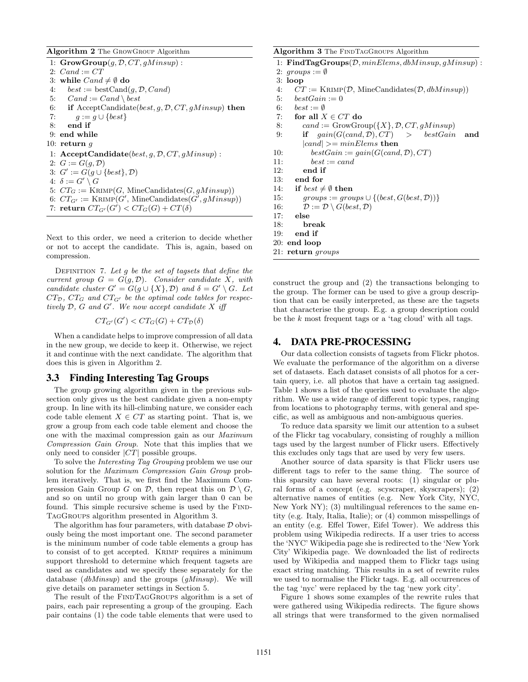Algorithm 2 The GrowGroup Algorithm

1:  $\textbf{GrowGroup}(g, \mathcal{D}, CT, gMinsup)$ : 2: Cand := CT 3: while  $Cand \neq \emptyset$  do 4:  $best := bestCand(g, \mathcal{D}, Cand)$ 5:  $Cand := Cand \setminus best$ 6: if  $AcceptC and *idate*(*best*, *g*, *D*, *CT*, *gMinsup*) then$ 7:  $g := g \cup \{best\}$ 8: end if 9: end while 10: return  $g$ 1:  $AcceptC and data (best, g, D, CT, gM in sup)$ : 2:  $G := G(q, \mathcal{D})$ 3:  $G' := G(g \cup \{best\}, \mathcal{D})$ 4:  $\delta := G' \setminus G$ 5:  $CT_G :=$  KRIMP(G, MineCandidates(G, gMinsup)) 6:  $CT_{G'} :=$  KRIMP $(G',$  MineCandidates $(G', gMinsup))$ 7: return  $CT_{G'}(G') < CT_G(G) + CT(\delta)$ 

Next to this order, we need a criterion to decide whether or not to accept the candidate. This is, again, based on compression.

DEFINITION 7. Let  $g$  be the set of tagsets that define the current group  $G = G(g, \mathcal{D})$ . Consider candidate X, with candidate cluster  $G' = G(g \cup \{X\}, \mathcal{D})$  and  $\delta = G' \setminus G$ . Let  $CT_{\mathcal{D}}$ ,  $CT_{G}$  and  $CT_{G'}$  be the optimal code tables for respectively  $D$ ,  $G$  and  $G'$ . We now accept candidate  $X$  iff

 $CT_{G'}(G') < CT_G(G) + CT_{\mathcal{D}}(\delta)$ 

When a candidate helps to improve compression of all data in the new group, we decide to keep it. Otherwise, we reject it and continue with the next candidate. The algorithm that does this is given in Algorithm 2.

# 3.3 Finding Interesting Tag Groups

The group growing algorithm given in the previous subsection only gives us the best candidate given a non-empty group. In line with its hill-climbing nature, we consider each code table element  $X \in \mathbb{C}T$  as starting point. That is, we grow a group from each code table element and choose the one with the maximal compression gain as our Maximum Compression Gain Group. Note that this implies that we only need to consider  $|CT|$  possible groups.

To solve the Interesting Tag Grouping problem we use our solution for the *Maximum Compression Gain Group* problem iteratively. That is, we first find the Maximum Compression Gain Group G on D, then repeat this on  $\mathcal{D} \setminus G$ , and so on until no group with gain larger than 0 can be found. This simple recursive scheme is used by the FIND-TagGroups algorithm presented in Algorithm 3.

The algorithm has four parameters, with database  $\mathcal D$  obviously being the most important one. The second parameter is the minimum number of code table elements a group has to consist of to get accepted. Krimp requires a minimum support threshold to determine which frequent tagsets are used as candidates and we specify these separately for the database  $(dbMinsup)$  and the groups  $(gMinsup)$ . We will give details on parameter settings in Section 5.

The result of the FINDTAGGROUPS algorithm is a set of pairs, each pair representing a group of the grouping. Each pair contains (1) the code table elements that were used to

#### Algorithm 3 The FINDTAGGROUPS Algorithm

1:  $FindTagGroups(D, minElements, dbMinsup, qMinsup)$ :

```
2: groups := \emptyset
```
- 3: loop
- 4:  $CT := \text{KRIMP}(\mathcal{D}, \text{MineCandidates}(\mathcal{D}, \text{dbMinsup}))$
- 5:  $bestGain := 0$
- 6:  $best := \emptyset$
- 7: for all  $X \in \mathbb{C}T$  do
- 8: cand := GrowGroup( $\{X\}$ ,  $\mathcal{D}$ ,  $CT$ ,  $gM$ *insup*)
- 9: if  $gain(G(cand, D), CT)$  > bestGain and  $|cand| \geq minElements$  then
- 10: bestGain :=  $gain(G(cand, D), CT)$
- 11:  $best := cand$
- 12: end if
- 13: end for
- 14: if  $best \neq \emptyset$  then
- 15: groups := groups  $\cup \{ (best, G(best, \mathcal{D})) \}$
- 16:  $\mathcal{D} := \mathcal{D} \setminus G(best, \mathcal{D})$
- 17: else
- 18: break
- 19: end if
- 20: end loop
- 21: return groups

construct the group and (2) the transactions belonging to the group. The former can be used to give a group description that can be easily interpreted, as these are the tagsets that characterise the group. E.g. a group description could be the  $k$  most frequent tags or a 'tag cloud' with all tags.

### 4. DATA PRE-PROCESSING

Our data collection consists of tagsets from Flickr photos. We evaluate the performance of the algorithm on a diverse set of datasets. Each dataset consists of all photos for a certain query, i.e. all photos that have a certain tag assigned. Table 1 shows a list of the queries used to evaluate the algorithm. We use a wide range of different topic types, ranging from locations to photography terms, with general and specific, as well as ambiguous and non-ambiguous queries.

To reduce data sparsity we limit our attention to a subset of the Flickr tag vocabulary, consisting of roughly a million tags used by the largest number of Flickr users. Effectively this excludes only tags that are used by very few users.

Another source of data sparsity is that Flickr users use different tags to refer to the same thing. The source of this sparsity can have several roots: (1) singular or plural forms of a concept (e.g. scyscraper, skyscrapers); (2) alternative names of entities (e.g. New York City, NYC, New York NY); (3) multilingual references to the same entity (e.g. Italy, Italia, Italie); or (4) common misspellings of an entity (e.g. Effel Tower, Eifel Tower). We address this problem using Wikipedia redirects. If a user tries to access the 'NYC' Wikipedia page she is redirected to the 'New York City' Wikipedia page. We downloaded the list of redirects used by Wikipedia and mapped them to Flickr tags using exact string matching. This results in a set of rewrite rules we used to normalise the Flickr tags. E.g. all occurrences of the tag 'nyc' were replaced by the tag 'new york city'.

Figure 1 shows some examples of the rewrite rules that were gathered using Wikipedia redirects. The figure shows all strings that were transformed to the given normalised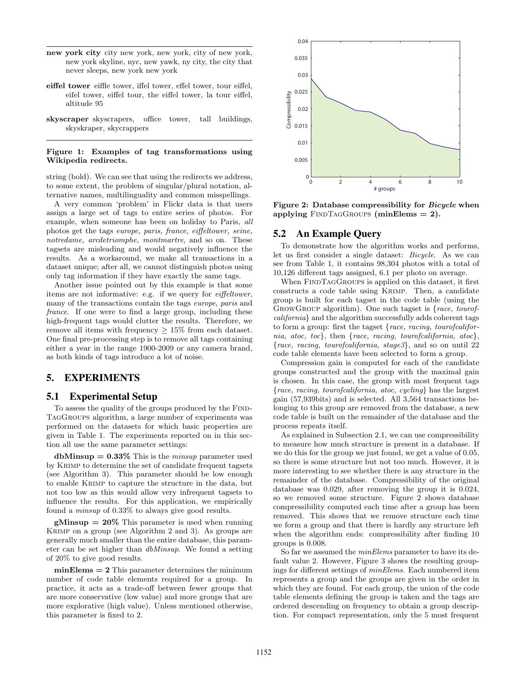- new york city city new york, new york, city of new york, new york skyline, nyc, new yawk, ny city, the city that never sleeps, new york new york
- eiffel tower eiffle tower, iffel tower, effel tower, tour eiffel, eifel tower, eiffel tour, the eiffel tower, la tour eiffel, altitude 95
- skyscraper skyscrapers, office tower, tall buildings, skyskraper, skycrappers

#### Figure 1: Examples of tag transformations using Wikipedia redirects.

string (bold). We can see that using the redirects we address, to some extent, the problem of singular/plural notation, alternative names, multilinguality and common misspellings.

A very common 'problem' in Flickr data is that users assign a large set of tags to entire series of photos. For example, when someone has been on holiday to Paris, all photos get the tags europe, paris, france, eiffeltower, seine, notredame, arcdetriomphe, montmartre, and so on. These tagsets are misleading and would negatively influence the results. As a workaround, we make all transactions in a dataset unique; after all, we cannot distinguish photos using only tag information if they have exactly the same tags.

Another issue pointed out by this example is that some items are not informative: e.g. if we query for eiffeltower, many of the transactions contain the tags europe, paris and france. If one were to find a large group, including these high-frequent tags would clutter the results. Therefore, we remove all items with frequency  $> 15\%$  from each dataset. One final pre-processing step is to remove all tags containing either a year in the range 1900-2009 or any camera brand, as both kinds of tags introduce a lot of noise.

# 5. EXPERIMENTS

# 5.1 Experimental Setup

To assess the quality of the groups produced by the Find-TagGroups algorithm, a large number of experiments was performed on the datasets for which basic properties are given in Table 1. The experiments reported on in this section all use the same parameter settings:

dbMinsup =  $0.33\%$  This is the *minsup* parameter used by Krimp to determine the set of candidate frequent tagsets (see Algorithm 3). This parameter should be low enough to enable Krimp to capture the structure in the data, but not too low as this would allow very infrequent tagsets to influence the results. For this application, we empirically found a minsup of 0.33% to always give good results.

 $gMinsup = 20\%$  This parameter is used when running Krimp on a group (see Algorithm 2 and 3). As groups are generally much smaller than the entire database, this parameter can be set higher than dbMinsup. We found a setting of 20% to give good results.

 $minElements = 2$  This parameter determines the minimum number of code table elements required for a group. In practice, it acts as a trade-off between fewer groups that are more conservative (low value) and more groups that are more explorative (high value). Unless mentioned otherwise, this parameter is fixed to 2.



Figure 2: Database compressibility for Bicycle when applying  $FINDTAGGROUPS$  (minElems  $= 2$ ).

# 5.2 An Example Query

To demonstrate how the algorithm works and performs, let us first consider a single dataset: Bicycle. As we can see from Table 1, it contains 98,304 photos with a total of 10,126 different tags assigned, 6.1 per photo on average.

When FINDTAGGROUPS is applied on this dataset, it first constructs a code table using Krimp. Then, a candidate group is built for each tagset in the code table (using the GROWGROUP algorithm). One such tagset is {race, tourofcalifornia} and the algorithm successfully adds coherent tags to form a group: first the tagset {race, racing, tourofcalifornia, atoc, toc}, then  ${race, \text{racing, \text{tourofcaliformia, \text{atoc}}},$ {race, racing, tourofcalifornia, stage3}, and so on until 22 code table elements have been selected to form a group.

Compression gain is computed for each of the candidate groups constructed and the group with the maximal gain is chosen. In this case, the group with most frequent tags {race, racing, tourofcalifornia, atoc, cycling} has the largest gain (57,939bits) and is selected. All 3,564 transactions belonging to this group are removed from the database, a new code table is built on the remainder of the database and the process repeats itself.

As explained in Subsection 2.1, we can use compressibility to measure how much structure is present in a database. If we do this for the group we just found, we get a value of 0.05, so there is some structure but not too much. However, it is more interesting to see whether there is any structure in the remainder of the database. Compressibility of the original database was 0.029, after removing the group it is 0.024, so we removed some structure. Figure 2 shows database compressibility computed each time after a group has been removed. This shows that we remove structure each time we form a group and that there is hardly any structure left when the algorithm ends: compressibility after finding 10 groups is 0.008.

So far we assumed the *minElems* parameter to have its default value 2. However, Figure 3 shows the resulting groupings for different settings of minElems. Each numbered item represents a group and the groups are given in the order in which they are found. For each group, the union of the code table elements defining the group is taken and the tags are ordered descending on frequency to obtain a group description. For compact representation, only the 5 most frequent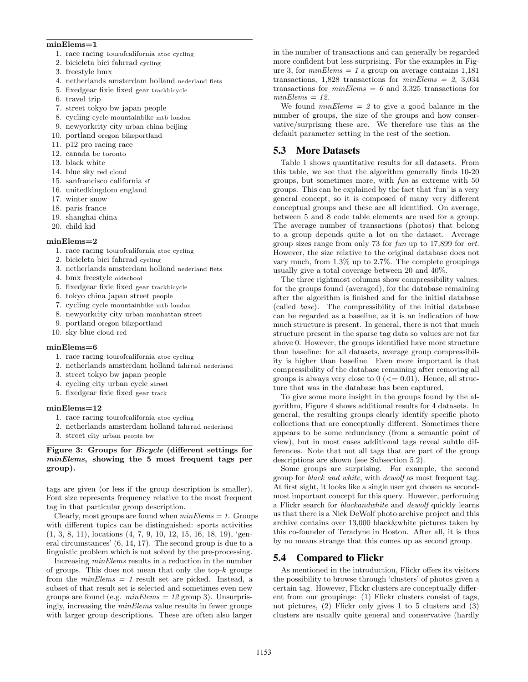#### minElems=1

- 1. race racing tourofcalifornia atoc cycling
- 2. bicicleta bici fahrrad cycling
- 3. freestyle bmx
- 4. netherlands amsterdam holland nederland fiets
- 5. fixedgear fixie fixed gear trackbicycle
- 6. travel trip
- 7. street tokyo bw japan people
- 8. cycling cycle mountainbike mtb london
- 9. newyorkcity city urban china beijing
- 10. portland oregon bikeportland
- 11. p12 pro racing race
- 12. canada bc toronto
- 13. black white
- 14. blue sky red cloud
- 15. sanfrancisco california sf
- 16. unitedkingdom england
- 17. winter snow
- 18. paris france
- 19. shanghai china
- 20. child kid

# minElems=2

- 1. race racing tourofcalifornia atoc cycling
- 2. bicicleta bici fahrrad cycling
- 3. netherlands amsterdam holland nederland fiets
- 4. bmx freestyle oldschool
- 5. fixedgear fixie fixed gear trackbicycle
- 6. tokyo china japan street people
- 7. cycling cycle mountainbike mtb london
- 8. newyorkcity city urban manhattan street
- 9. portland oregon bikeportland
- 10. sky blue cloud red

#### minElems=6

- 1. race racing tourofcalifornia atoc cycling
- 2. netherlands amsterdam holland fahrrad nederland
- 3. street tokyo bw japan people
- 4. cycling city urban cycle street
- 5. fixedgear fixie fixed gear track

#### minElems=12

- 1. race racing tourofcalifornia atoc cycling
- 2. netherlands amsterdam holland fahrrad nederland
- 3. street city urban people bw

### Figure 3: Groups for Bicycle (different settings for minElems, showing the 5 most frequent tags per group).

tags are given (or less if the group description is smaller). Font size represents frequency relative to the most frequent tag in that particular group description.

Clearly, most groups are found when  $minElements = 1$ . Groups with different topics can be distinguished: sports activities (1, 3, 8, 11), locations (4, 7, 9, 10, 12, 15, 16, 18, 19), 'general circumstances' (6, 14, 17). The second group is due to a linguistic problem which is not solved by the pre-processing.

Increasing minElems results in a reduction in the number of groups. This does not mean that only the top- $k$  groups from the  $minElements = 1$  result set are picked. Instead, a subset of that result set is selected and sometimes even new groups are found (e.g.  $minElements = 12$  group 3). Unsurprisingly, increasing the minElems value results in fewer groups with larger group descriptions. These are often also larger

in the number of transactions and can generally be regarded more confident but less surprising. For the examples in Figure 3, for  $minElements = 1$  a group on average contains 1,181 transactions, 1,828 transactions for  $minElements = 2, 3,034$ transactions for  $minElements = 6$  and 3,325 transactions for  $minElements = 12$ .

We found  $minElements = 2$  to give a good balance in the number of groups, the size of the groups and how conservative/surprising these are. We therefore use this as the default parameter setting in the rest of the section.

# 5.3 More Datasets

Table 1 shows quantitative results for all datasets. From this table, we see that the algorithm generally finds 10-20 groups, but sometimes more, with fun as extreme with 50 groups. This can be explained by the fact that 'fun' is a very general concept, so it is composed of many very different conceptual groups and these are all identified. On average, between 5 and 8 code table elements are used for a group. The average number of transactions (photos) that belong to a group depends quite a lot on the dataset. Average group sizes range from only 73 for fun up to 17,899 for art. However, the size relative to the original database does not vary much, from 1.3% up to 2.7%. The complete groupings usually give a total coverage between 20 and 40%.

The three rightmost columns show compressibility values: for the groups found (averaged), for the database remaining after the algorithm is finished and for the initial database (called base). The compressibility of the initial database can be regarded as a baseline, as it is an indication of how much structure is present. In general, there is not that much structure present in the sparse tag data so values are not far above 0. However, the groups identified have more structure than baseline: for all datasets, average group compressibility is higher than baseline. Even more important is that compressibility of the database remaining after removing all groups is always very close to  $0 \ (= 0.01)$ . Hence, all structure that was in the database has been captured.

To give some more insight in the groups found by the algorithm, Figure 4 shows additional results for 4 datasets. In general, the resulting groups clearly identify specific photo collections that are conceptually different. Sometimes there appears to be some redundancy (from a semantic point of view), but in most cases additional tags reveal subtle differences. Note that not all tags that are part of the group descriptions are shown (see Subsection 5.2).

Some groups are surprising. For example, the second group for black and white, with dewolf as most frequent tag. At first sight, it looks like a single user got chosen as secondmost important concept for this query. However, performing a Flickr search for blackandwhite and dewolf quickly learns us that there is a Nick DeWolf photo archive project and this archive contains over 13,000 black&white pictures taken by this co-founder of Teradyne in Boston. After all, it is thus by no means strange that this comes up as second group.

### 5.4 Compared to Flickr

As mentioned in the introduction, Flickr offers its visitors the possibility to browse through 'clusters' of photos given a certain tag. However, Flickr clusters are conceptually different from our groupings: (1) Flickr clusters consist of tags, not pictures, (2) Flickr only gives 1 to 5 clusters and (3) clusters are usually quite general and conservative (hardly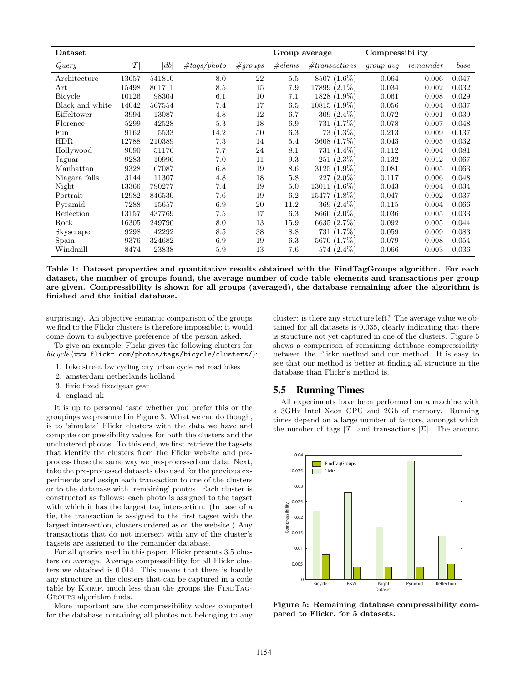| Dataset         |                 |        |                |            | Group average |               | Compressibility |           |       |
|-----------------|-----------------|--------|----------------|------------|---------------|---------------|-----------------|-----------|-------|
| Query           | $ \mathcal{T} $ | db     | $\#tags/photo$ | $\#groups$ | #elems        | #transactions | group avq       | remainder | base  |
| Architecture    | 13657           | 541810 | 8.0            | 22         | 5.5           | 8507 (1.6%)   | 0.064           | 0.006     | 0.047 |
| Art             | 15498           | 861711 | 8.5            | 15         | 7.9           | 17899 (2.1%)  | 0.034           | 0.002     | 0.032 |
| Bicycle         | 10126           | 98304  | 6.1            | 10         | 7.1           | 1828 (1.9%)   | 0.061           | 0.008     | 0.029 |
| Black and white | 14042           | 567554 | 7.4            | 17         | 6.5           | 10815 (1.9%)  | 0.056           | 0.004     | 0.037 |
| Eiffeltower     | 3994            | 13087  | 4.8            | 12         | 6.7           | 309 $(2.4\%)$ | 0.072           | 0.001     | 0.039 |
| Florence        | 5299            | 42528  | 5.3            | 18         | 6.9           | 731 (1.7%)    | 0.078           | 0.007     | 0.048 |
| Fun             | 9162            | 5533   | 14.2           | 50         | 6.3           | $73(1.3\%)$   | 0.213           | 0.009     | 0.137 |
| <b>HDR</b>      | 12788           | 210389 | 7.3            | 14         | 5.4           | 3608 (1.7%)   | 0.043           | 0.005     | 0.032 |
| Hollywood       | 9090            | 51176  | 7.7            | 24         | 8.1           | 731 (1.4%)    | 0.112           | 0.004     | 0.081 |
| Jaguar          | 9283            | 10996  | 7.0            | 11         | 9.3           | 251 (2.3%)    | 0.132           | 0.012     | 0.067 |
| Manhattan       | 9328            | 167087 | 6.8            | 19         | 8.6           | $3125(1.9\%)$ | 0.081           | 0.005     | 0.063 |
| Niagara falls   | 3144            | 11307  | 4.8            | 18         | 5.8           | $227(2.0\%)$  | 0.117           | 0.006     | 0.048 |
| Night           | 13366           | 790277 | 7.4            | 19         | 5.0           | 13011 (1.6%)  | 0.043           | 0.004     | 0.034 |
| Portrait        | 12982           | 846530 | 7.6            | 19         | 6.2           | 15477 (1.8%)  | 0.047           | 0.002     | 0.037 |
| Pyramid         | 7288            | 15657  | 6.9            | 20         | 11.2          | 369 $(2.4\%)$ | 0.115           | 0.004     | 0.066 |
| Reflection      | 13157           | 437769 | 7.5            | 17         | 6.3           | 8660 (2.0%)   | 0.036           | 0.005     | 0.033 |
| Rock            | 16305           | 249790 | 8.0            | 13         | 15.9          | 6635 (2.7%)   | 0.092           | 0.005     | 0.044 |
| Skyscraper      | 9298            | 42292  | 8.5            | 38         | 8.8           | 731 (1.7%)    | 0.059           | 0.009     | 0.083 |
| Spain           | 9376            | 324682 | 6.9            | 19         | 6.3           | 5670 (1.7%)   | 0.079           | 0.008     | 0.054 |
| Windmill        | 8474            | 23838  | 5.9            | 13         | 7.6           | 574 (2.4%)    | 0.066           | 0.003     | 0.036 |

Table 1: Dataset properties and quantitative results obtained with the FindTagGroups algorithm. For each dataset, the number of groups found, the average number of code table elements and transactions per group are given. Compressibility is shown for all groups (averaged), the database remaining after the algorithm is finished and the initial database.

surprising). An objective semantic comparison of the groups we find to the Flickr clusters is therefore impossible; it would come down to subjective preference of the person asked.

To give an example, Flickr gives the following clusters for bicycle (www.flickr.com/photos/tags/bicycle/clusters/):

- 1. bike street bw cycling city urban cycle red road bikes
- 2. amsterdam netherlands holland
- 3. fixie fixed fixedgear gear
- 4. england uk

It is up to personal taste whether you prefer this or the groupings we presented in Figure 3. What we can do though, is to 'simulate' Flickr clusters with the data we have and compute compressibility values for both the clusters and the unclustered photos. To this end, we first retrieve the tagsets that identify the clusters from the Flickr website and preprocess these the same way we pre-processed our data. Next, take the pre-processed datasets also used for the previous experiments and assign each transaction to one of the clusters or to the database with 'remaining' photos. Each cluster is constructed as follows: each photo is assigned to the tagset with which it has the largest tag intersection. (In case of a tie, the transaction is assigned to the first tagset with the largest intersection, clusters ordered as on the website.) Any transactions that do not intersect with any of the cluster's tagsets are assigned to the remainder database.

For all queries used in this paper, Flickr presents 3.5 clusters on average. Average compressibility for all Flickr clusters we obtained is 0.014. This means that there is hardly any structure in the clusters that can be captured in a code table by KRIMP, much less than the groups the FINDTAG-Groups algorithm finds.

More important are the compressibility values computed for the database containing all photos not belonging to any cluster: is there any structure left? The average value we obtained for all datasets is 0.035, clearly indicating that there is structure not yet captured in one of the clusters. Figure 5 shows a comparison of remaining database compressibility between the Flickr method and our method. It is easy to see that our method is better at finding all structure in the database than Flickr's method is.

# 5.5 Running Times

All experiments have been performed on a machine with a 3GHz Intel Xeon CPU and 2Gb of memory. Running times depend on a large number of factors, amongst which the number of tags  $|\mathcal{T}|$  and transactions  $|\mathcal{D}|$ . The amount



Figure 5: Remaining database compressibility compared to Flickr, for 5 datasets.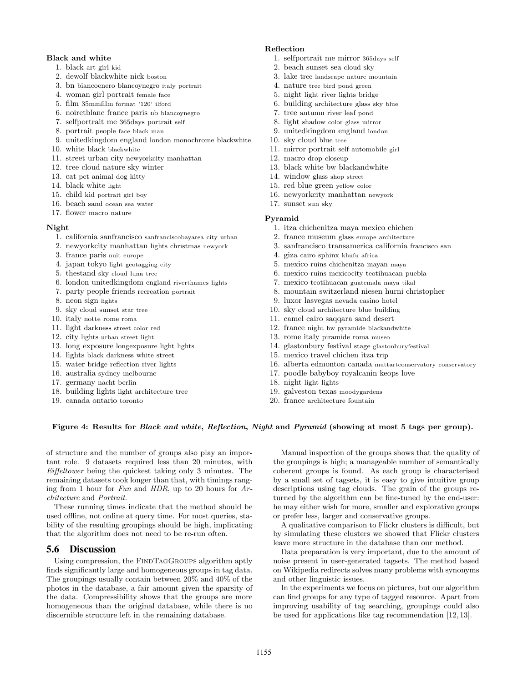### Black and white

- 1. black art girl kid
- 2. dewolf blackwhite nick boston
- 3. bn biancoenero blancoynegro italy portrait
- 4. woman girl portrait female face
- 5. film 35mmfilm format '120' ilford
- 6. noiretblanc france paris nb blancoynegro
- 7. selfportrait me 365days portrait self
- 8. portrait people face black man
- 9. unitedkingdom england london monochrome blackwhite
- 10. white black blackwhite
- 11. street urban city newyorkcity manhattan
- 12. tree cloud nature sky winter
- 13. cat pet animal dog kitty
- 14. black white light
- 15. child kid portrait girl boy
- 16. beach sand ocean sea water
- 17. flower macro nature

### Night

- 1. california sanfrancisco sanfranciscobayarea city urban
- 2. newyorkcity manhattan lights christmas newyork
- 3. france paris nuit europe
- 4. japan tokyo light geotagging city
- 5. thestand sky cloud luna tree
- 6. london unitedkingdom england riverthames lights
- 7. party people friends recreation portrait
- 8. neon sign lights
- 9. sky cloud sunset star tree
- 10. italy notte rome roma
- 11. light darkness street color red
- 12. city lights urban street light
- 13. long exposure longexposure light lights
- 14. lights black darkness white street
- 15. water bridge reflection river lights
- 16. australia sydney melbourne
- 17. germany nacht berlin
- 18. building lights light architecture tree
- 19. canada ontario toronto

# Reflection

- 1. selfportrait me mirror 365days self
- 2. beach sunset sea cloud sky
- 3. lake tree landscape nature mountain
- 4. nature tree bird pond green
- 5. night light river lights bridge
- 6. building architecture glass sky blue
- 7. tree autumn river leaf pond
- 8. light shadow color glass mirror
- 9. unitedkingdom england london
- 10. sky cloud blue tree
- 11. mirror portrait self automobile girl
- 12. macro drop closeup
- 13. black white bw blackandwhite
- 14. window glass shop street
- 15. red blue green yellow color
- 16. newyorkcity manhattan newyork
- 17. sunset sun sky

# Pyramid

- 1. itza chichenitza maya mexico chichen
- 2. france museum glass europe architecture
- 3. sanfrancisco transamerica california francisco san
- 4. giza cairo sphinx khufu africa
- 5. mexico ruins chichenitza mayan maya
- 6. mexico ruins mexicocity teotihuacan puebla
- 7. mexico teotihuacan guatemala maya tikal
- 8. mountain switzerland niesen hurni christopher
- 9. luxor lasvegas nevada casino hotel
- 10. sky cloud architecture blue building
- 11. camel cairo saqqara sand desert
- 12. france night bw pyramide blackandwhite
- 13. rome italy piramide roma museo
- 14. glastonbury festival stage glastonburyfestival
- 15. mexico travel chichen itza trip
- 16. alberta edmonton canada muttartconservatory conservatory
- 17. poodle babyboy royalcanin keops love
- 18. night light lights
- 19. galveston texas moodygardens
- 20. france architecture fountain

### Figure 4: Results for Black and white, Reflection, Night and Pyramid (showing at most 5 tags per group).

of structure and the number of groups also play an important role. 9 datasets required less than 20 minutes, with Eiffeltower being the quickest taking only 3 minutes. The remaining datasets took longer than that, with timings ranging from 1 hour for Fun and HDR, up to 20 hours for  $Ar$ chitecture and Portrait.

These running times indicate that the method should be used offline, not online at query time. For most queries, stability of the resulting groupings should be high, implicating that the algorithm does not need to be re-run often.

# 5.6 Discussion

Using compression, the FINDTAGGROUPS algorithm aptly finds significantly large and homogeneous groups in tag data. The groupings usually contain between 20% and 40% of the photos in the database, a fair amount given the sparsity of the data. Compressibility shows that the groups are more homogeneous than the original database, while there is no discernible structure left in the remaining database.

Manual inspection of the groups shows that the quality of the groupings is high; a manageable number of semantically coherent groups is found. As each group is characterised by a small set of tagsets, it is easy to give intuitive group descriptions using tag clouds. The grain of the groups returned by the algorithm can be fine-tuned by the end-user: he may either wish for more, smaller and explorative groups or prefer less, larger and conservative groups.

A qualitative comparison to Flickr clusters is difficult, but by simulating these clusters we showed that Flickr clusters leave more structure in the database than our method.

Data preparation is very important, due to the amount of noise present in user-generated tagsets. The method based on Wikipedia redirects solves many problems with synonyms and other linguistic issues.

In the experiments we focus on pictures, but our algorithm can find groups for any type of tagged resource. Apart from improving usability of tag searching, groupings could also be used for applications like tag recommendation [12, 13].